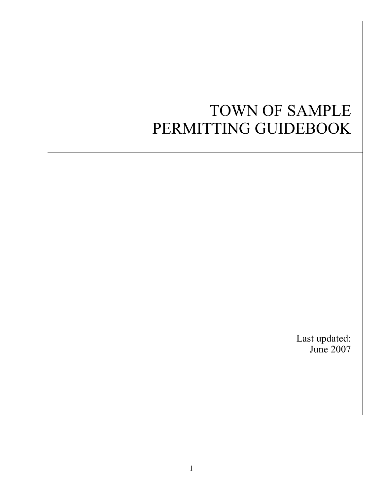# TOWN OF SAMPLE PERMITTING GUIDEBOOK

Last updated: June 2007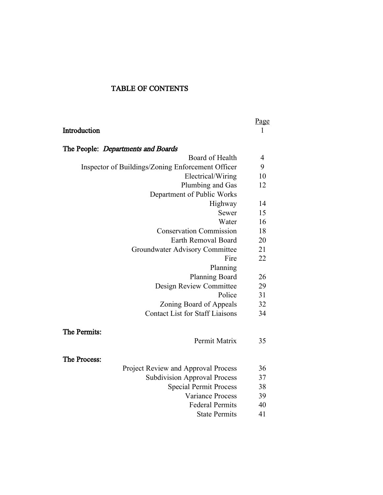#### TABLE OF CONTENTS

|                                                   | <u>Page</u>    |
|---------------------------------------------------|----------------|
| Introduction                                      | $\mathbf{1}$   |
| The People: Departments and Boards                |                |
| Board of Health                                   | $\overline{4}$ |
| Inspector of Buildings/Zoning Enforcement Officer | 9              |
| Electrical/Wiring                                 | 10             |
| Plumbing and Gas                                  | 12             |
| Department of Public Works                        |                |
| Highway                                           | 14             |
| Sewer                                             | 15             |
| Water                                             | 16             |
| <b>Conservation Commission</b>                    | 18             |
| Earth Removal Board                               | 20             |
| Groundwater Advisory Committee                    | 21             |
| Fire                                              | 22             |
| Planning                                          |                |
| <b>Planning Board</b>                             | 26             |
| Design Review Committee                           | 29             |
| Police                                            | 31             |
| Zoning Board of Appeals                           | 32             |
| <b>Contact List for Staff Liaisons</b>            | 34             |
| The Permits:                                      |                |
| Permit Matrix                                     | 35             |
| The Process:                                      |                |
| Project Review and Approval Process               | 36             |
| <b>Subdivision Approval Process</b>               | 37             |
| <b>Special Permit Process</b>                     | 38             |
| <b>Variance Process</b>                           | 39             |
| <b>Federal Permits</b>                            | 40             |
| <b>State Permits</b>                              | 41             |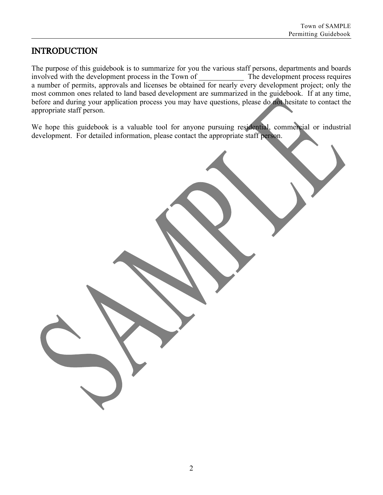### **INTRODUCTION**

The purpose of this guidebook is to summarize for you the various staff persons, departments and boards involved with the development process in the Town of The development process requires a number of permits, approvals and licenses be obtained for nearly every development project; only the most common ones related to land based development are summarized in the guidebook. If at any time, before and during your application process you may have questions, please do not hesitate to contact the appropriate staff person.

We hope this guidebook is a valuable tool for anyone pursuing residential, commercial or industrial development. For detailed information, please contact the appropriate staff person.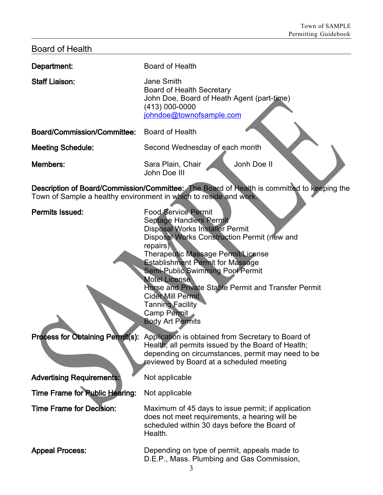| <b>Board of Health</b>           |                                                                                                                                                                                                                                                                                                                                                                                                                                                                               |
|----------------------------------|-------------------------------------------------------------------------------------------------------------------------------------------------------------------------------------------------------------------------------------------------------------------------------------------------------------------------------------------------------------------------------------------------------------------------------------------------------------------------------|
| Department:                      | Board of Health                                                                                                                                                                                                                                                                                                                                                                                                                                                               |
| <b>Staff Liaison:</b>            | Jane Smith<br><b>Board of Health Secretary</b><br>John Doe, Board of Heath Agent (part-time)<br>(413) 000-0000<br>johndoe@townofsample.com                                                                                                                                                                                                                                                                                                                                    |
| Board/Commission/Committee:      | <b>Board of Health</b>                                                                                                                                                                                                                                                                                                                                                                                                                                                        |
| <b>Meeting Schedule:</b>         | Second Wednesday of each month                                                                                                                                                                                                                                                                                                                                                                                                                                                |
| <b>Members:</b>                  | Jonh Doe II<br>Sara Plain, Chair<br>John Doe III                                                                                                                                                                                                                                                                                                                                                                                                                              |
|                                  | Description of Board/Commission/Committee: The Board of Health is committed to keeping the<br>Town of Sample a healthy environment in which to reside and work.                                                                                                                                                                                                                                                                                                               |
| <b>Permits Issued:</b>           | <b>Food Service Permit</b><br>Septage Handlers Permit<br><b>Disposal Works Installer Permit</b><br>Disposal Works Construction Permit (new and<br>repairs)<br>Therapeutic Massage Permit/License<br><b>Establishment Permit for Massage</b><br><b>Semi-Public Swimming Pool Permit</b><br><b>Motel License</b><br>Horse and Private Stable Permit and Transfer Permit<br><b>Cider Mill Permit</b><br><b>Tanning Facility</b><br><b>Camp Permit</b><br><b>Body Art Permits</b> |
| Process for Obtaining Permit(s): | Application is obtained from Secretary to Board of<br>Health; all permits issued by the Board of Health;<br>depending on circumstances, permit may need to be<br>reviewed by Board at a scheduled meeting                                                                                                                                                                                                                                                                     |
| <b>Advertising Requirements:</b> | Not applicable                                                                                                                                                                                                                                                                                                                                                                                                                                                                |
| Time Frame for Public Hearing:   | Not applicable                                                                                                                                                                                                                                                                                                                                                                                                                                                                |
| <b>Time Frame for Decision:</b>  | Maximum of 45 days to issue permit; if application<br>does not meet requirements, a hearing will be<br>scheduled within 30 days before the Board of<br>Health.                                                                                                                                                                                                                                                                                                                |
| <b>Appeal Process:</b>           | Depending on type of permit, appeals made to<br>D.E.P., Mass. Plumbing and Gas Commission,                                                                                                                                                                                                                                                                                                                                                                                    |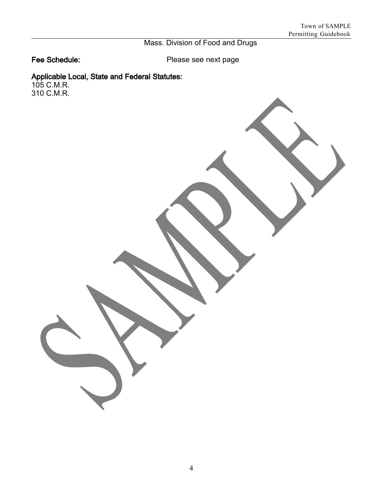## Mass. Division of Food and Drugs

Fee Schedule: Please see next page

#### Applicable Local, State and Federal Statutes:

105 C.M.R. 310 C.M.R.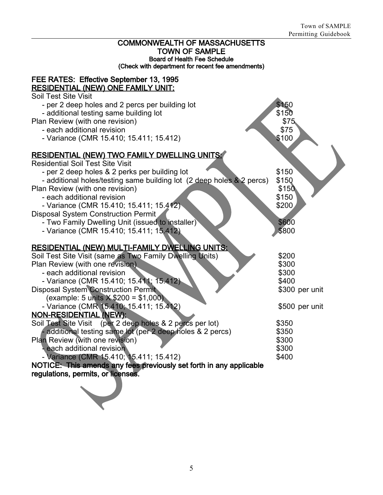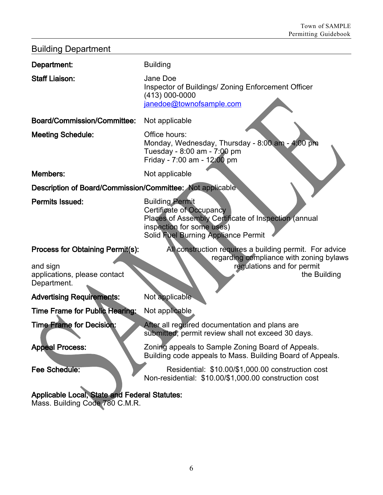| <b>Building Department</b>                                                      |                                                                                                                                                                                       |
|---------------------------------------------------------------------------------|---------------------------------------------------------------------------------------------------------------------------------------------------------------------------------------|
| Department:                                                                     | <b>Building</b>                                                                                                                                                                       |
| <b>Staff Liaison:</b>                                                           | Jane Doe<br>Inspector of Buildings/ Zoning Enforcement Officer<br>(413) 000-0000<br>janedoe@townofsample.com                                                                          |
| <b>Board/Commission/Committee:</b>                                              | Not applicable                                                                                                                                                                        |
| <b>Meeting Schedule:</b>                                                        | Office hours:<br>Monday, Wednesday, Thursday - 8:00 am - 4:00 pm<br>Tuesday - 8:00 am - 7:00 pm<br>Friday - 7:00 am - 12:00 pm                                                        |
| Members:                                                                        | Not applicable                                                                                                                                                                        |
| Description of Board/Commission/Committee: Not applicable                       |                                                                                                                                                                                       |
| <b>Permits Issued:</b>                                                          | <b>Building Permit</b><br><b>Certificate of Occupancy</b><br>Places of Assembly Certificate of Inspection (annual<br>inspection for some uses)<br>Solid Fuel Burning Appliance Permit |
| Process for Obtaining Permit(s):                                                | All construction requires a building permit. For advice                                                                                                                               |
| and sign<br>applications, please contact<br>Department.                         | regarding compliance with zoning bylaws<br>regulations and for permit<br>the Building                                                                                                 |
| <b>Advertising Requirements:</b>                                                | Not applicable                                                                                                                                                                        |
| <b>Time Frame for Public Hearing:</b>                                           | Not applicable                                                                                                                                                                        |
| <b>Time Frame for Decision:</b>                                                 | After all required documentation and plans are<br>submitted, permit review shall not exceed 30 days.                                                                                  |
| <b>Appeal Process:</b>                                                          | Zoning appeals to Sample Zoning Board of Appeals.<br>Building code appeals to Mass. Building Board of Appeals.                                                                        |
| Fee Schedule:                                                                   | Residential: \$10.00/\$1,000.00 construction cost<br>Non-residential: \$10.00/\$1,000.00 construction cost                                                                            |
| Applicable Local, State and Federal Statutes:<br>$\sim$ Puilding Code 700 C M D |                                                                                                                                                                                       |

Mass. Building Code 780 C.M.R.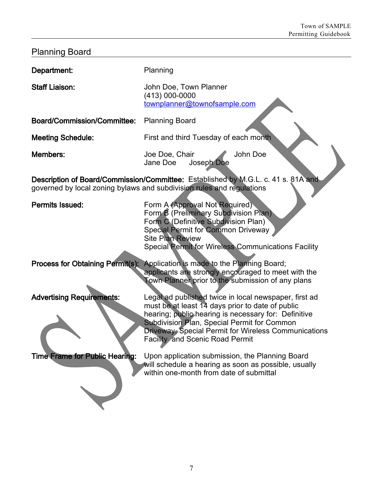| <b>Planning Board</b>                 |                                                                                                                                                                                                                                                                                                                    |
|---------------------------------------|--------------------------------------------------------------------------------------------------------------------------------------------------------------------------------------------------------------------------------------------------------------------------------------------------------------------|
| Department:                           | Planning                                                                                                                                                                                                                                                                                                           |
| <b>Staff Liaison:</b>                 | John Doe, Town Planner<br>(413) 000-0000<br>townplanner@townofsample.com                                                                                                                                                                                                                                           |
| <b>Board/Commission/Committee:</b>    | <b>Planning Board</b>                                                                                                                                                                                                                                                                                              |
| <b>Meeting Schedule:</b>              | First and third Tuesday of each month                                                                                                                                                                                                                                                                              |
| Members:                              | Joe Doe, Chair<br>John Doe<br>Jane Doe<br>Joseph Doe                                                                                                                                                                                                                                                               |
|                                       | Description of Board/Commission/Committee: Established by M.G.L. c. 41 s. 81A and<br>governed by local zoning bylaws and subdivision rules and regulations                                                                                                                                                         |
| <b>Permits Issued:</b>                | Form A (Approval Not Required)<br>Form B (Preliminary Subdivision Plan)<br>Form C (Definitive Subdivision Plan)<br><b>Special Permit for Common Driveway</b><br><b>Site Plan Review</b><br><b>Special Permit for Wireless Communications Facility</b>                                                              |
| Process for Obtaining Permit(s):      | Application is made to the Planning Board;<br>applicants are strongly encouraged to meet with the<br>Fown Planner prior to the submission of any plans                                                                                                                                                             |
| <b>Advertising Requirements:</b>      | Legal ad published twice in local newspaper, first ad<br>must be at least 14 days prior to date of public<br>hearing; public hearing is necessary for: Definitive<br>Subdivision Plan, Special Permit for Common<br>Driveway, Special Permit for Wireless Communications<br><b>Facility and Scenic Road Permit</b> |
| <b>Time Frame for Public Hearing:</b> | Upon application submission, the Planning Board<br>will schedule a hearing as soon as possible, usually<br>within one-month from date of submittal                                                                                                                                                                 |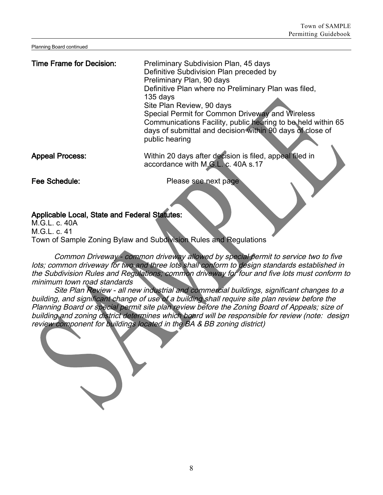Planning Board continued

Time Frame for Decision: Preliminary Subdivision Plan, 45 days Definitive Subdivision Plan preceded by Preliminary Plan, 90 days Definitive Plan where no Preliminary Plan was filed, 135 days Site Plan Review, 90 days Special Permit for Common Driveway and Wireless Communications Facility, public hearing to be held within 65 days of submittal and decision within 90 days of close of public hearing Appeal Process: Within 20 days after decision is filed, appeal filed in

Fee Schedule: The Please see next page

accordance with M.G.L. c. 40A s.17

#### Applicable Local, State and Federal Statutes:

 $M$  G  $L$  c. 40A  $MGL$  c. 41 Town of Sample Zoning Bylaw and Subdivision Rules and Regulations

Common Driveway - common driveway allowed by special permit to service two to five lots; common driveway for two and three lots shall conform to design standards established in the Subdivision Rules and Regulations; common driveway for four and five lots must conform to minimum town road standards

Site Plan Review - all new industrial and commercial buildings, significant changes to <sup>a</sup> building, and significant change of use of <sup>a</sup> building shall require site plan review before the Planning Board or special permit site plan review before the Zoning Board of Appeals; size of building and zoning district determines which board will be responsible for review (note: design review component for buildings located in the BA & BB zoning district)

8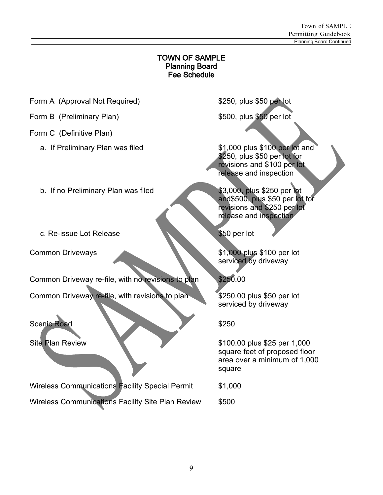#### TOWN OF SAMPLE Planning Board Fee Schedule

Form A (Approval Not Required)  $$250$ , plus \$50 per lot

- Form B (Preliminary Plan)  $$500$ , plus \$50 per lot
- Form C (Definitive Plan)
	- a. If Preliminary Plan was filed \$1,000 plus \$100 per lot and
	- b. If no Preliminary Plan was filed \$3,000, plus \$250 per lot
	- c. Re-issue Lot Release \$50 per lot
- 

Common Driveway re-file, with no revisions to plan \$250.00

Common Driveway re-file, with revisions to plan \$250.00 plus \$50 per lot

Scenic Road \$250

Wireless Communications Facility Special Permit \$1,000 Wireless Communications Facility Site Plan Review \$500

\$250, plus \$50 per lot for revisions and \$100 per lot release and inspection

and\$500, plus \$50 per lot for revisions and \$250 per lot release and inspection

Common Driveways \$1,000 plus \$100 per lot serviced by driveway

serviced by driveway

Site Plan Review  $$100.00$  plus \$25 per 1,000 square feet of proposed floor area over a minimum of 1,000 square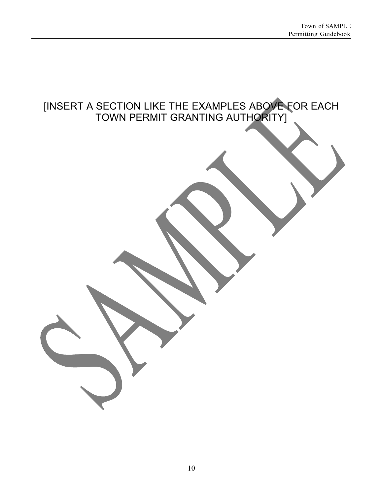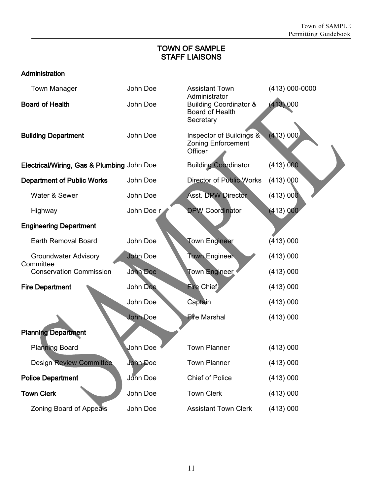#### TOWN OF SAMPLE STAFF LIAISONS

#### Administration

| <b>Town Manager</b>                        | John Doe        | <b>Assistant Town</b>                                                              | (413) 000-0000 |
|--------------------------------------------|-----------------|------------------------------------------------------------------------------------|----------------|
| <b>Board of Health</b>                     | John Doe        | Administrator<br><b>Building Coordinator &amp;</b><br>Board of Health<br>Secretary | (413) 000      |
| <b>Building Department</b>                 | John Doe        | Inspector of Buildings &<br><b>Zoning Enforcement</b><br>Officer                   | (413) 000      |
| Electrical/Wiring, Gas & Plumbing John Doe |                 | <b>Building Coordinator</b>                                                        | (413) 000      |
| <b>Department of Public Works</b>          | John Doe        | <b>Director of Public Works</b>                                                    | (413) 000      |
| Water & Sewer                              | John Doe        | <b>Asst. DPW Director</b>                                                          | (413) 000      |
| Highway                                    | John Doe r      | <b>DPW Coordinator</b>                                                             | (413) 000      |
| <b>Engineering Department</b>              |                 |                                                                                    |                |
| Earth Removal Board                        | John Doe        | <b>Town Engineer</b>                                                               | (413) 000      |
| <b>Groundwater Advisory</b><br>Committee   | <b>John Doe</b> | <b>Town Engineer</b>                                                               | (413) 000      |
| <b>Conservation Commission</b>             | <b>John Doe</b> | <b>Town Engineer</b>                                                               | (413) 000      |
| <b>Fire Department</b>                     | John Doe        | <b>Fire Chief</b>                                                                  | (413) 000      |
|                                            | John Doe        | Captain                                                                            | (413) 000      |
|                                            | <b>John Doe</b> | <b>Fire Marshal</b>                                                                | (413) 000      |
| <b>Planning Department</b>                 |                 |                                                                                    |                |
| <b>Planning Board</b>                      | John Doe        | <b>Town Planner</b>                                                                | (413) 000      |
| <b>Design Review Committee</b>             | John Doe        | Town Planner                                                                       | (413) 000      |
| <b>Police Department</b>                   | John Doe        | Chief of Police                                                                    | (413) 000      |
| <b>Town Clerk</b>                          | John Doe        | <b>Town Clerk</b>                                                                  | (413) 000      |
| Zoning Board of Appeals                    | John Doe        | <b>Assistant Town Clerk</b>                                                        | (413) 000      |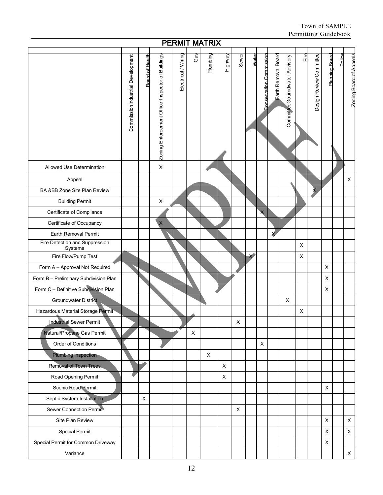| <b>PERMIT MATRIX</b>                      |                                  |                 |                                                  |                     |     |          |         |         |          |                                |                            |                               |                |                         |                |        |                         |
|-------------------------------------------|----------------------------------|-----------------|--------------------------------------------------|---------------------|-----|----------|---------|---------|----------|--------------------------------|----------------------------|-------------------------------|----------------|-------------------------|----------------|--------|-------------------------|
|                                           | CommissionIndustrial Development | Board of Health | Zoning Enforcement OfficerInspector of Buildings | Electrical / Wiring | Gas | Plumbing | Highway | Sewer   | Water    | <b>Conservation Commission</b> | <b>Farth Removal Board</b> | CommitteeGourndwater Advisory | Fire           | Design Review Committee | Planning Board | Police | Zoning Board of Appeals |
| Allowed Use Determination                 |                                  |                 | $\sf X$                                          |                     |     |          |         |         |          |                                |                            |                               |                |                         |                |        |                         |
| Appeal                                    |                                  |                 |                                                  |                     |     |          |         |         |          |                                |                            |                               |                |                         |                |        | $\pmb{\times}$          |
| BA &BB Zone Site Plan Review              |                                  |                 |                                                  |                     |     |          |         |         |          |                                |                            |                               |                |                         |                |        |                         |
| <b>Building Permit</b>                    |                                  |                 | X                                                |                     |     |          |         |         |          |                                |                            |                               |                |                         |                |        |                         |
| Certificate of Compliance                 |                                  |                 |                                                  |                     |     |          |         |         |          | $\overline{\mathsf{x}}$        |                            |                               |                |                         |                |        |                         |
| Certificate of Occupancy                  |                                  |                 | $\overline{\mathsf{X}}$                          |                     |     |          |         |         |          |                                |                            |                               |                |                         |                |        |                         |
| Earth Removal Permit                      |                                  |                 |                                                  |                     |     |          |         |         |          |                                | X                          |                               |                |                         |                |        |                         |
| Fire Detection and Suppression<br>Systems |                                  |                 |                                                  |                     |     |          |         |         |          |                                |                            |                               | $\pmb{\times}$ |                         |                |        |                         |
| Fire Flow/Pump Test                       |                                  |                 |                                                  |                     |     |          |         |         | $\times$ |                                |                            |                               | X              |                         |                |        |                         |
| Form A - Approval Not Required            |                                  |                 |                                                  |                     |     |          |         |         |          |                                |                            |                               |                |                         | $\mathsf X$    |        |                         |
| Form B - Preliminary Subdivision Plan     |                                  |                 |                                                  |                     |     |          |         |         |          |                                |                            |                               |                |                         | X              |        |                         |
| Form C - Definitive Subdivision Plan      |                                  |                 |                                                  |                     |     |          |         |         |          |                                |                            |                               |                |                         | X              |        |                         |
| <b>Groundwater District</b>               |                                  |                 |                                                  |                     |     |          |         |         |          |                                |                            | X                             |                |                         |                |        |                         |
| Hazardous Material Storage Permit         |                                  |                 |                                                  |                     |     |          |         |         |          |                                |                            |                               | X              |                         |                |        |                         |
| <b>Industrial Sewer Permit</b>            |                                  |                 |                                                  |                     |     |          |         | $\sf X$ |          |                                |                            |                               |                |                         |                |        |                         |
| Natural/Propane Gas Permit                |                                  |                 |                                                  |                     | X   |          |         |         |          |                                |                            |                               |                |                         |                |        |                         |
| Order of Conditions                       |                                  |                 |                                                  |                     |     |          |         |         |          | X                              |                            |                               |                |                         |                |        |                         |
| <b>Plumbing Inspection</b>                |                                  |                 |                                                  |                     |     | X        |         |         |          |                                |                            |                               |                |                         |                |        |                         |
| <b>Removal of Town Trees.</b>             |                                  |                 |                                                  |                     |     |          | X       |         |          |                                |                            |                               |                |                         |                |        |                         |
| Road Opening Permit                       |                                  |                 |                                                  |                     |     |          | X       |         |          |                                |                            |                               |                |                         |                |        |                         |
| Scenic Road Permit                        |                                  |                 |                                                  |                     |     |          |         |         |          |                                |                            |                               |                |                         | X              |        |                         |
| Septic System Installation                |                                  | $\pmb{\times}$  |                                                  |                     |     |          |         |         |          |                                |                            |                               |                |                         |                |        |                         |
| Sewer Connection Permit                   |                                  |                 |                                                  |                     |     |          |         | X       |          |                                |                            |                               |                |                         |                |        |                         |
| Site Plan Review                          |                                  |                 |                                                  |                     |     |          |         |         |          |                                |                            |                               |                |                         | $\mathsf X$    |        | X                       |
| <b>Special Permit</b>                     |                                  |                 |                                                  |                     |     |          |         |         |          |                                |                            |                               |                |                         | $\mathsf X$    |        | X                       |
| Special Permit for Common Driveway        |                                  |                 |                                                  |                     |     |          |         |         |          |                                |                            |                               |                |                         | $\mathsf X$    |        |                         |
| Variance                                  |                                  |                 |                                                  |                     |     |          |         |         |          |                                |                            |                               |                |                         |                |        | $\mathsf X$             |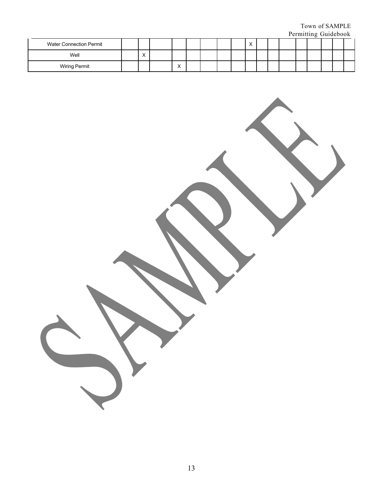Town of SAMPLE Permitting Guidebook

|                                |                |                           |  |  |           |  | . |  | _ _ _ _ _ _ _ |  |
|--------------------------------|----------------|---------------------------|--|--|-----------|--|---|--|---------------|--|
| <b>Water Connection Permit</b> |                |                           |  |  | $\lambda$ |  |   |  |               |  |
| Well                           | $\lambda$<br>↗ |                           |  |  |           |  |   |  |               |  |
| <b>Wiring Permit</b>           |                | $\ddot{\phantom{0}}$<br>⌒ |  |  |           |  |   |  |               |  |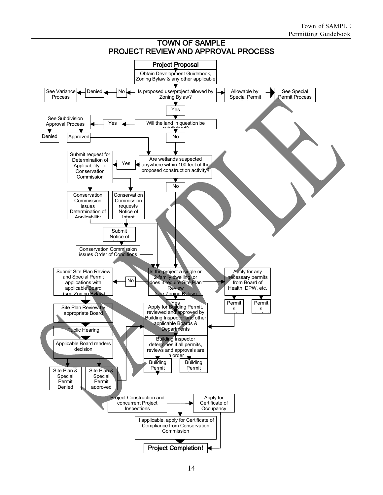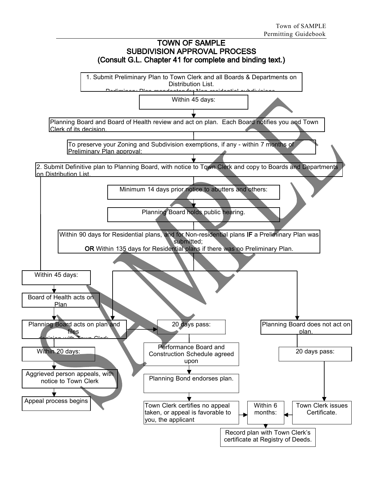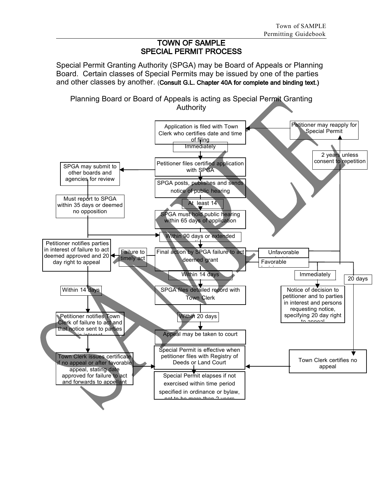#### TOWN OF SAMPLE SPECIAL PERMIT PROCESS

Special Permit Granting Authority (SPGA) may be Board of Appeals or Planning Board. Certain classes of Special Permits may be issued by one of the parties and other classes by another. (Consult G.L. Chapter 40A for complete and binding text.)

Planning Board or Board of Appeals is acting as Special Permit Granting Authority

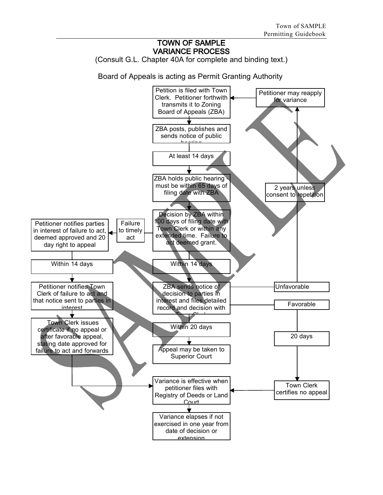#### TOWN OF SAMPLE VARIANCE PROCESS

(Consult G.L. Chapter 40A for complete and binding text.)

Board of Appeals is acting as Permit Granting Authority

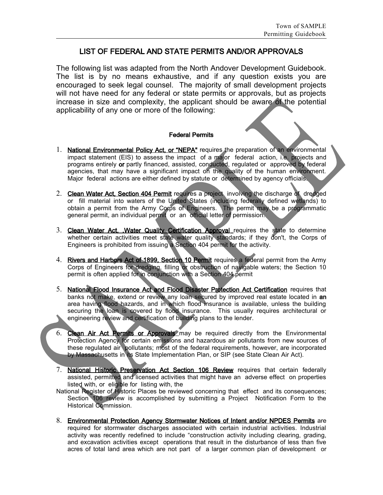#### LIST OF FEDERAL AND STATE PERMITS AND/OR APPROVALS

The following list was adapted from the North Andover Development Guidebook. The list is by no means exhaustive, and if any question exists you are encouraged to seek legal counsel. The majority of small development projects will not have need for any federal or state permits or approvals, but as projects increase in size and complexity, the applicant should be aware of the potential applicability of any one or more of the following:

#### Federal Permits

- 1. National Environmental Policy Act, or "NEPA" requires the preparation of an environmental impact statement (EIS) to assess the impact of a major federal action, i.e. projects and programs entirely or partly financed, assisted, conducted, regulated or approved by federal agencies, that may have a significant impact on the quality of the human environment. Major federal actions are either defined by statute or determined by agency officials.
- 2. Clean Water Act, Section 404 Permit requires a project involving the discharge of dredged or fill material into waters of the United States (including federally defined wetlands) to obtain a permit from the Army Corps of Engineers. The permit may be a programmatic general permit, an individual permit or an official letter of permission.
- 3. Clean Water Act, Water Quality Certification Approval requires the state to determine whether certain activities meet state water quality standards; if they don't, the Corps of Engineers is prohibited from issuing a Section 404 permit for the activity.
- 4. Rivers and Harbors Act of 1899, Section 10 Permit requires a federal permit from the Army Corps of Engineers for dredging, filling or obstruction of navigable waters; the Section 10 permit is often applied for in conjunction with a Section 404 permit
- 5. National Flood Insurance Act and Flood Disaster Protection Act Certification requires that banks not make, extend or review any loan secured by improved real estate located in an area having flood hazards, and in which flood insurance is available, unless the building securing the loan is covered by flood insurance. This usually requires architectural or engineering review and certification of building plans to the lender.
- 6. Clean Air Act Permits or Approvals may be required directly from the Environmental Protection Agency for certain emissions and hazardous air pollutants from new sources of these regulated air pollutants; most of the federal requirements, however, are incorporated by Massachusetts in its State Implementation Plan, or SIP (see State Clean Air Act).
- 7. National Historic Preservation Act Section 106 Review requires that certain federally assisted, permitted and licensed activities that might have an adverse effect on properties listed with, or eligible for listing with, the
- National Register of Historic Places be reviewed concerning that effect and its consequences; Section 106 review is accomplished by submitting a Project Notification Form to the Historical Commission.
- 8. Environmental Protection Agency Stormwater Notices of Intent and/or NPDES Permits are required for stormwater discharges associated with certain industrial activities. Industrial activity was recently redefined to include "construction activity including clearing, grading, and excavation activities except operations that result in the disturbance of less than five acres of total land area which are not part of a larger common plan of development or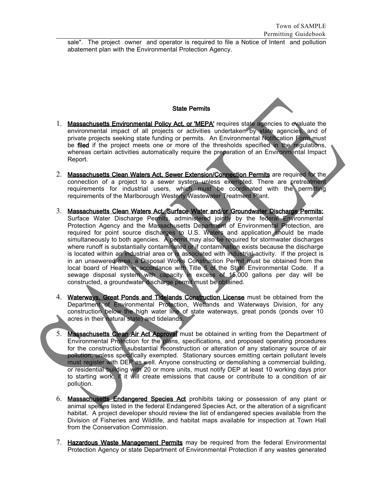sale". The project owner and operator is required to file a Notice of Intent and pollution abatement plan with the Environmental Protection Agency.

#### State Permits

- 1. Massachusetts Environmental Policy Act, or 'MEPA' requires state agencies to evaluate the environmental impact of all projects or activities undertaken by state agencies, and of private projects seeking state funding or permits. An Environmental Notification Form must be filed if the project meets one or more of the thresholds specified in the regulations, whereas certain activities automatically require the preparation of an Environmental Impact Report.
- 2. Massachusetts Clean Waters Act, Sewer Extension/Connection Permits are required for the connection of a project to a sewer system unless exempted. There are pretreatment requirements for industrial users, which must be coordinated with the permitting requirements of the Marlborough Westerly Wastewater Treatment Plant.
- 3. Massachusetts Clean Waters Act, Surface Water and/or Groundwater Discharge Permits: Surface Water Discharge Permits, administered jointly by the federal Environmental Protection Agency and the Massachusetts Department of Environmental Protection, are required for point source discharges to U.S. Waters and application should be made simultaneously to both agencies. A permit may also be required for stormwater discharges where runoff is substantially contaminated or if contamination exists because the discharge is located within an industrial area or is associated with industrial activity. If the project is in an unsewered area, a Disposal Works Construction Permit must be obtained from the local board of Health in accordance with Title 5 of the State Environmental Code. If a sewage disposal system with capacity in excess of 15,000 gallons per day will be constructed, a groundwater discharge permit must be obtained.
- 4. Waterways, Great Ponds and Tidelands Construction License must be obtained from the Department of Environmental Protection, Wetlands and Waterways Division, for any construction below the high water line of state waterways, great ponds (ponds over 10 acres in their natural state) and tidelands.
- 5. Massachusetts Clean Air Act Approval must be obtained in writing from the Department of Environmental Protection for the plans, specifications, and proposed operating procedures for the construction, substantial reconstruction or alteration of any stationary source of air pollution, unless specifically exempted. Stationary sources emitting certain pollutant levels must register with DEP as well. Anyone constructing or demolishing a commercial building, or residential building with 20 or more units, must notify DEP at least 10 working days prior to starting work, if it will create emissions that cause or contribute to a condition of air pollution.
- 6. Massachusetts Endangered Species Act prohibits taking or possession of any plant or animal species listed in the federal Endangered Species Act, or the alteration of a significant habitat. A project developer should review the list of endangered species available from the Division of Fisheries and Wildlife, and habitat maps available for inspection at Town Hall from the Conservation Commission.
- 7. Hazardous Waste Management Permits may be required from the federal Environmental Protection Agency or state Department of Environmental Protection if any wastes generated